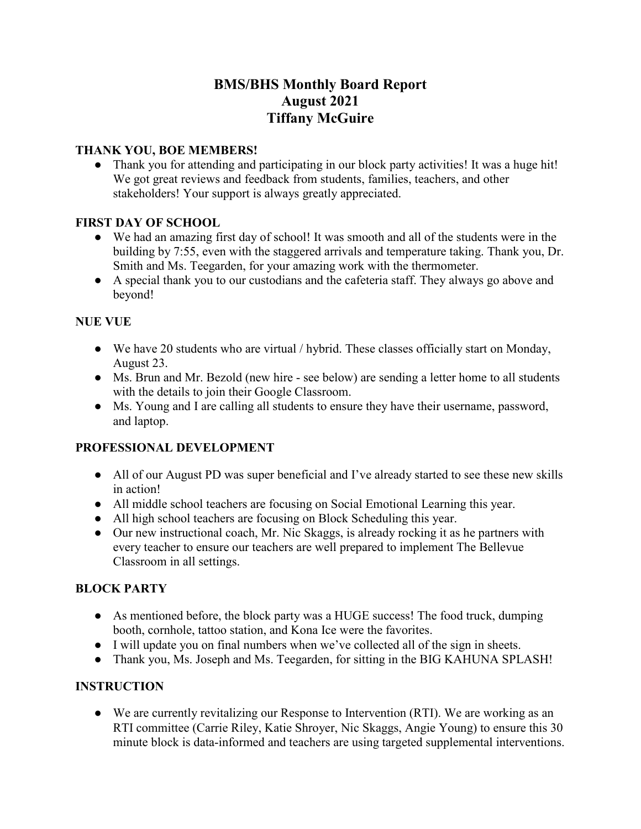# **BMS/BHS Monthly Board Report August 2021 Tiffany McGuire**

#### **THANK YOU, BOE MEMBERS!**

● Thank you for attending and participating in our block party activities! It was a huge hit! We got great reviews and feedback from students, families, teachers, and other stakeholders! Your support is always greatly appreciated.

## **FIRST DAY OF SCHOOL**

- We had an amazing first day of school! It was smooth and all of the students were in the building by 7:55, even with the staggered arrivals and temperature taking. Thank you, Dr. Smith and Ms. Teegarden, for your amazing work with the thermometer.
- A special thank you to our custodians and the cafeteria staff. They always go above and beyond!

## **NUE VUE**

- We have 20 students who are virtual / hybrid. These classes officially start on Monday, August 23.
- Ms. Brun and Mr. Bezold (new hire see below) are sending a letter home to all students with the details to join their Google Classroom.
- Ms. Young and I are calling all students to ensure they have their username, password, and laptop.

# **PROFESSIONAL DEVELOPMENT**

- All of our August PD was super beneficial and I've already started to see these new skills in action!
- All middle school teachers are focusing on Social Emotional Learning this year.
- All high school teachers are focusing on Block Scheduling this year.
- Our new instructional coach, Mr. Nic Skaggs, is already rocking it as he partners with every teacher to ensure our teachers are well prepared to implement The Bellevue Classroom in all settings.

# **BLOCK PARTY**

- As mentioned before, the block party was a HUGE success! The food truck, dumping booth, cornhole, tattoo station, and Kona Ice were the favorites.
- I will update you on final numbers when we've collected all of the sign in sheets.
- Thank you, Ms. Joseph and Ms. Teegarden, for sitting in the BIG KAHUNA SPLASH!

# **INSTRUCTION**

● We are currently revitalizing our Response to Intervention (RTI). We are working as an RTI committee (Carrie Riley, Katie Shroyer, Nic Skaggs, Angie Young) to ensure this 30 minute block is data-informed and teachers are using targeted supplemental interventions.